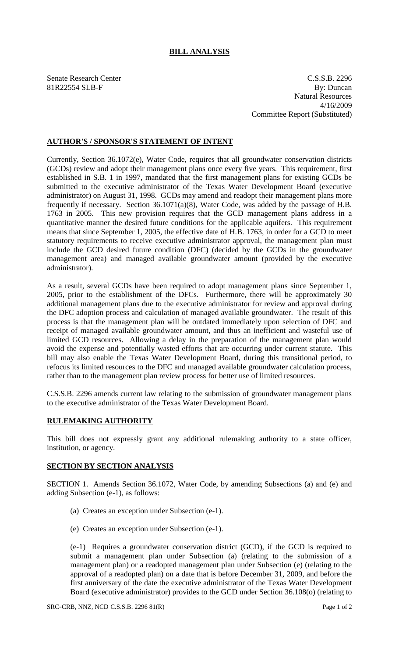## **BILL ANALYSIS**

Senate Research Center C.S.S.B. 2296 81R22554 SLB-F By: Duncan Natural Resources 4/16/2009 Committee Report (Substituted)

## **AUTHOR'S / SPONSOR'S STATEMENT OF INTENT**

Currently, Section 36.1072(e), Water Code, requires that all groundwater conservation districts (GCDs) review and adopt their management plans once every five years. This requirement, first established in S.B. 1 in 1997, mandated that the first management plans for existing GCDs be submitted to the executive administrator of the Texas Water Development Board (executive administrator) on August 31, 1998. GCDs may amend and readopt their management plans more frequently if necessary. Section 36.1071(a)(8), Water Code, was added by the passage of H.B. 1763 in 2005. This new provision requires that the GCD management plans address in a quantitative manner the desired future conditions for the applicable aquifers. This requirement means that since September 1, 2005, the effective date of H.B. 1763, in order for a GCD to meet statutory requirements to receive executive administrator approval, the management plan must include the GCD desired future condition (DFC) (decided by the GCDs in the groundwater management area) and managed available groundwater amount (provided by the executive administrator).

As a result, several GCDs have been required to adopt management plans since September 1, 2005, prior to the establishment of the DFCs. Furthermore, there will be approximately 30 additional management plans due to the executive administrator for review and approval during the DFC adoption process and calculation of managed available groundwater. The result of this process is that the management plan will be outdated immediately upon selection of DFC and receipt of managed available groundwater amount, and thus an inefficient and wasteful use of limited GCD resources. Allowing a delay in the preparation of the management plan would avoid the expense and potentially wasted efforts that are occurring under current statute. This bill may also enable the Texas Water Development Board, during this transitional period, to refocus its limited resources to the DFC and managed available groundwater calculation process, rather than to the management plan review process for better use of limited resources.

C.S.S.B. 2296 amends current law relating to the submission of groundwater management plans to the executive administrator of the Texas Water Development Board.

## **RULEMAKING AUTHORITY**

This bill does not expressly grant any additional rulemaking authority to a state officer, institution, or agency.

## **SECTION BY SECTION ANALYSIS**

SECTION 1. Amends Section 36.1072, Water Code, by amending Subsections (a) and (e) and adding Subsection (e-1), as follows:

- (a) Creates an exception under Subsection (e-1).
- (e) Creates an exception under Subsection (e-1).

(e-1) Requires a groundwater conservation district (GCD), if the GCD is required to submit a management plan under Subsection (a) (relating to the submission of a management plan) or a readopted management plan under Subsection (e) (relating to the approval of a readopted plan) on a date that is before December 31, 2009, and before the first anniversary of the date the executive administrator of the Texas Water Development Board (executive administrator) provides to the GCD under Section 36.108(o) (relating to